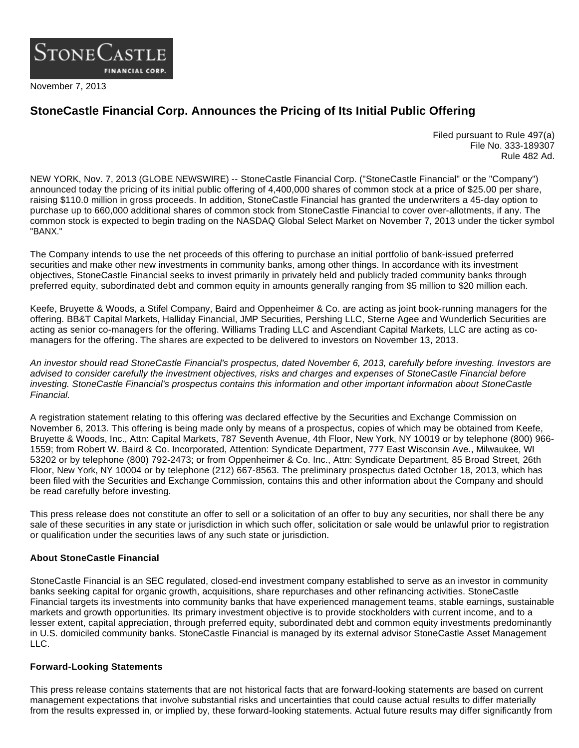

November 7, 2013

## **StoneCastle Financial Corp. Announces the Pricing of Its Initial Public Offering**

Filed pursuant to Rule 497(a) File No. 333-189307 Rule 482 Ad.

NEW YORK, Nov. 7, 2013 (GLOBE NEWSWIRE) -- StoneCastle Financial Corp. ("StoneCastle Financial" or the "Company") announced today the pricing of its initial public offering of 4,400,000 shares of common stock at a price of \$25.00 per share, raising \$110.0 million in gross proceeds. In addition, StoneCastle Financial has granted the underwriters a 45-day option to purchase up to 660,000 additional shares of common stock from StoneCastle Financial to cover over-allotments, if any. The common stock is expected to begin trading on the NASDAQ Global Select Market on November 7, 2013 under the ticker symbol "BANX."

The Company intends to use the net proceeds of this offering to purchase an initial portfolio of bank-issued preferred securities and make other new investments in community banks, among other things. In accordance with its investment objectives, StoneCastle Financial seeks to invest primarily in privately held and publicly traded community banks through preferred equity, subordinated debt and common equity in amounts generally ranging from \$5 million to \$20 million each.

Keefe, Bruyette & Woods, a Stifel Company, Baird and Oppenheimer & Co. are acting as joint book-running managers for the offering. BB&T Capital Markets, Halliday Financial, JMP Securities, Pershing LLC, Sterne Agee and Wunderlich Securities are acting as senior co-managers for the offering. Williams Trading LLC and Ascendiant Capital Markets, LLC are acting as comanagers for the offering. The shares are expected to be delivered to investors on November 13, 2013.

An investor should read StoneCastle Financial's prospectus, dated November 6, 2013, carefully before investing. Investors are advised to consider carefully the investment objectives, risks and charges and expenses of StoneCastle Financial before investing. StoneCastle Financial's prospectus contains this information and other important information about StoneCastle Financial.

A registration statement relating to this offering was declared effective by the Securities and Exchange Commission on November 6, 2013. This offering is being made only by means of a prospectus, copies of which may be obtained from Keefe, Bruyette & Woods, Inc., Attn: Capital Markets, 787 Seventh Avenue, 4th Floor, New York, NY 10019 or by telephone (800) 966- 1559; from Robert W. Baird & Co. Incorporated, Attention: Syndicate Department, 777 East Wisconsin Ave., Milwaukee, WI 53202 or by telephone (800) 792-2473; or from Oppenheimer & Co. Inc., Attn: Syndicate Department, 85 Broad Street, 26th Floor, New York, NY 10004 or by telephone (212) 667-8563. The preliminary prospectus dated October 18, 2013, which has been filed with the Securities and Exchange Commission, contains this and other information about the Company and should be read carefully before investing.

This press release does not constitute an offer to sell or a solicitation of an offer to buy any securities, nor shall there be any sale of these securities in any state or jurisdiction in which such offer, solicitation or sale would be unlawful prior to registration or qualification under the securities laws of any such state or jurisdiction.

## **About StoneCastle Financial**

StoneCastle Financial is an SEC regulated, closed-end investment company established to serve as an investor in community banks seeking capital for organic growth, acquisitions, share repurchases and other refinancing activities. StoneCastle Financial targets its investments into community banks that have experienced management teams, stable earnings, sustainable markets and growth opportunities. Its primary investment objective is to provide stockholders with current income, and to a lesser extent, capital appreciation, through preferred equity, subordinated debt and common equity investments predominantly in U.S. domiciled community banks. StoneCastle Financial is managed by its external advisor StoneCastle Asset Management LLC.

## **Forward-Looking Statements**

This press release contains statements that are not historical facts that are forward-looking statements are based on current management expectations that involve substantial risks and uncertainties that could cause actual results to differ materially from the results expressed in, or implied by, these forward-looking statements. Actual future results may differ significantly from